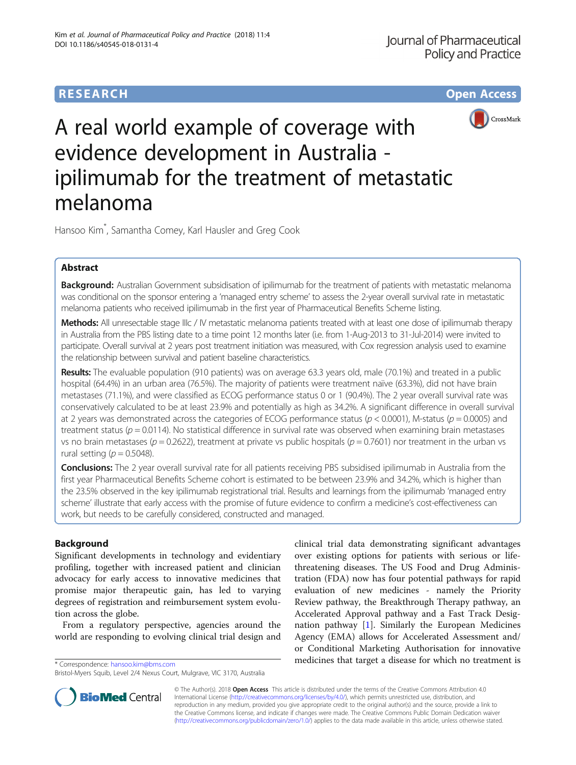

# A real world example of coverage with evidence development in Australia ipilimumab for the treatment of metastatic melanoma

Hansoo Kim\* , Samantha Comey, Karl Hausler and Greg Cook

# Abstract

Background: Australian Government subsidisation of ipilimumab for the treatment of patients with metastatic melanoma was conditional on the sponsor entering a 'managed entry scheme' to assess the 2-year overall survival rate in metastatic melanoma patients who received ipilimumab in the first year of Pharmaceutical Benefits Scheme listing.

Methods: All unresectable stage IIIc / IV metastatic melanoma patients treated with at least one dose of ipilimumab therapy in Australia from the PBS listing date to a time point 12 months later (i.e. from 1-Aug-2013 to 31-Jul-2014) were invited to participate. Overall survival at 2 years post treatment initiation was measured, with Cox regression analysis used to examine the relationship between survival and patient baseline characteristics.

Results: The evaluable population (910 patients) was on average 63.3 years old, male (70.1%) and treated in a public hospital (64.4%) in an urban area (76.5%). The majority of patients were treatment naïve (63.3%), did not have brain metastases (71.1%), and were classified as ECOG performance status 0 or 1 (90.4%). The 2 year overall survival rate was conservatively calculated to be at least 23.9% and potentially as high as 34.2%. A significant difference in overall survival at 2 years was demonstrated across the categories of ECOG performance status ( $p$  < 0.0001), M-status ( $p$  = 0.0005) and treatment status ( $p = 0.0114$ ). No statistical difference in survival rate was observed when examining brain metastases vs no brain metastases ( $p = 0.2622$ ), treatment at private vs public hospitals ( $p = 0.7601$ ) nor treatment in the urban vs rural setting ( $p = 0.5048$ ).

**Conclusions:** The 2 year overall survival rate for all patients receiving PBS subsidised ipilimumab in Australia from the first year Pharmaceutical Benefits Scheme cohort is estimated to be between 23.9% and 34.2%, which is higher than the 23.5% observed in the key ipilimumab registrational trial. Results and learnings from the ipilimumab 'managed entry scheme' illustrate that early access with the promise of future evidence to confirm a medicine's cost-effectiveness can work, but needs to be carefully considered, constructed and managed.

# Background

Significant developments in technology and evidentiary profiling, together with increased patient and clinician advocacy for early access to innovative medicines that promise major therapeutic gain, has led to varying degrees of registration and reimbursement system evolution across the globe.

From a regulatory perspective, agencies around the world are responding to evolving clinical trial design and

clinical trial data demonstrating significant advantages over existing options for patients with serious or lifethreatening diseases. The US Food and Drug Administration (FDA) now has four potential pathways for rapid evaluation of new medicines - namely the Priority Review pathway, the Breakthrough Therapy pathway, an Accelerated Approval pathway and a Fast Track Designation pathway  $[1]$ . Similarly the European Medicines Agency (EMA) allows for Accelerated Assessment and/ or Conditional Marketing Authorisation for innovative medicines that target a disease for which no treatment is \* Correspondence: [hansoo.kim@bms.com](mailto:hansoo.kim@bms.com)



© The Author(s). 2018 Open Access This article is distributed under the terms of the Creative Commons Attribution 4.0 International License [\(http://creativecommons.org/licenses/by/4.0/](http://creativecommons.org/licenses/by/4.0/)), which permits unrestricted use, distribution, and reproduction in any medium, provided you give appropriate credit to the original author(s) and the source, provide a link to the Creative Commons license, and indicate if changes were made. The Creative Commons Public Domain Dedication waiver [\(http://creativecommons.org/publicdomain/zero/1.0/](http://creativecommons.org/publicdomain/zero/1.0/)) applies to the data made available in this article, unless otherwise stated.

Bristol-Myers Squib, Level 2/4 Nexus Court, Mulgrave, VIC 3170, Australia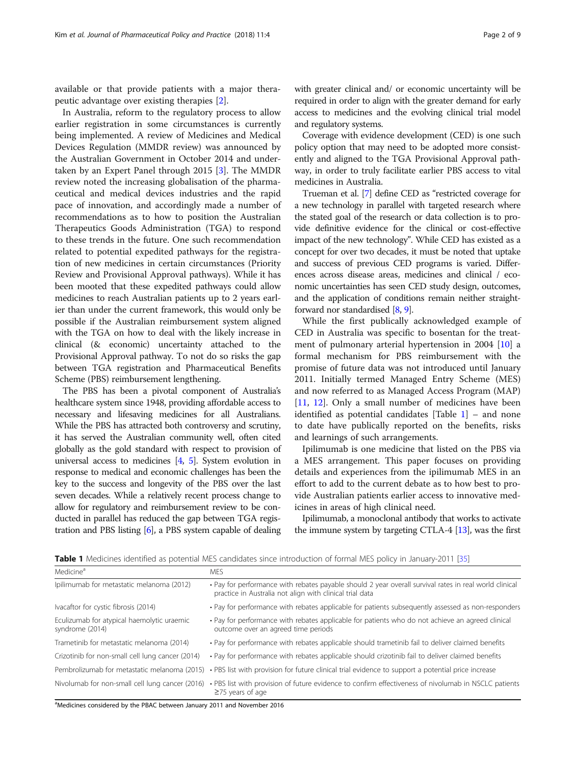<span id="page-1-0"></span>available or that provide patients with a major therapeutic advantage over existing therapies [\[2](#page-7-0)].

In Australia, reform to the regulatory process to allow earlier registration in some circumstances is currently being implemented. A review of Medicines and Medical Devices Regulation (MMDR review) was announced by the Australian Government in October 2014 and undertaken by an Expert Panel through 2015 [\[3](#page-7-0)]. The MMDR review noted the increasing globalisation of the pharmaceutical and medical devices industries and the rapid pace of innovation, and accordingly made a number of recommendations as to how to position the Australian Therapeutics Goods Administration (TGA) to respond to these trends in the future. One such recommendation related to potential expedited pathways for the registration of new medicines in certain circumstances (Priority Review and Provisional Approval pathways). While it has been mooted that these expedited pathways could allow medicines to reach Australian patients up to 2 years earlier than under the current framework, this would only be possible if the Australian reimbursement system aligned with the TGA on how to deal with the likely increase in clinical (& economic) uncertainty attached to the Provisional Approval pathway. To not do so risks the gap between TGA registration and Pharmaceutical Benefits Scheme (PBS) reimbursement lengthening.

The PBS has been a pivotal component of Australia's healthcare system since 1948, providing affordable access to necessary and lifesaving medicines for all Australians. While the PBS has attracted both controversy and scrutiny, it has served the Australian community well, often cited globally as the gold standard with respect to provision of universal access to medicines [\[4,](#page-7-0) [5\]](#page-7-0). System evolution in response to medical and economic challenges has been the key to the success and longevity of the PBS over the last seven decades. While a relatively recent process change to allow for regulatory and reimbursement review to be conducted in parallel has reduced the gap between TGA registration and PBS listing [\[6](#page-7-0)], a PBS system capable of dealing with greater clinical and/ or economic uncertainty will be required in order to align with the greater demand for early access to medicines and the evolving clinical trial model and regulatory systems.

Coverage with evidence development (CED) is one such policy option that may need to be adopted more consistently and aligned to the TGA Provisional Approval pathway, in order to truly facilitate earlier PBS access to vital medicines in Australia.

Trueman et al. [\[7\]](#page-7-0) define CED as "restricted coverage for a new technology in parallel with targeted research where the stated goal of the research or data collection is to provide definitive evidence for the clinical or cost-effective impact of the new technology". While CED has existed as a concept for over two decades, it must be noted that uptake and success of previous CED programs is varied. Differences across disease areas, medicines and clinical / economic uncertainties has seen CED study design, outcomes, and the application of conditions remain neither straightforward nor standardised [[8](#page-7-0), [9\]](#page-7-0).

While the first publically acknowledged example of CED in Australia was specific to bosentan for the treatment of pulmonary arterial hypertension in 2004 [\[10](#page-7-0)] a formal mechanism for PBS reimbursement with the promise of future data was not introduced until January 2011. Initially termed Managed Entry Scheme (MES) and now referred to as Managed Access Program (MAP) [[11,](#page-7-0) [12\]](#page-7-0). Only a small number of medicines have been identified as potential candidates  $[Table 1]$  – and none to date have publically reported on the benefits, risks and learnings of such arrangements.

Ipilimumab is one medicine that listed on the PBS via a MES arrangement. This paper focuses on providing details and experiences from the ipilimumab MES in an effort to add to the current debate as to how best to provide Australian patients earlier access to innovative medicines in areas of high clinical need.

Ipilimumab, a monoclonal antibody that works to activate the immune system by targeting CTLA-4  $[13]$  $[13]$  $[13]$ , was the first

| Medicine <sup>a</sup>                                         | MES                                                                                                                                                                |
|---------------------------------------------------------------|--------------------------------------------------------------------------------------------------------------------------------------------------------------------|
| Ipilimumab for metastatic melanoma (2012)                     | • Pay for performance with rebates payable should 2 year overall survival rates in real world clinical<br>practice in Australia not align with clinical trial data |
| Ivacaftor for cystic fibrosis (2014)                          | • Pay for performance with rebates applicable for patients subsequently assessed as non-responders                                                                 |
| Eculizumab for atypical haemolytic uraemic<br>syndrome (2014) | • Pay for performance with rebates applicable for patients who do not achieve an agreed clinical<br>outcome over an agreed time periods                            |
| Trametinib for metastatic melanoma (2014)                     | . Pay for performance with rebates applicable should trametinib fail to deliver claimed benefits                                                                   |
| Crizotinib for non-small cell lung cancer (2014)              | • Pay for performance with rebates applicable should crizotinib fail to deliver claimed benefits                                                                   |
| Pembrolizumab for metastatic melanoma (2015)                  | • PBS list with provision for future clinical trial evidence to support a potential price increase                                                                 |
|                                                               | Nivolumab for non-small cell lung cancer (2016) · PBS list with provision of future evidence to confirm effectiveness of nivolumab in NSCLC patients               |

Table 1 Medicines identified as potential MES candidates since introduction of formal MES policy in January-2011 [\[35\]](#page-8-0)

≥75 years of age

<sup>a</sup>Medicines considered by the PBAC between January 2011 and November 2016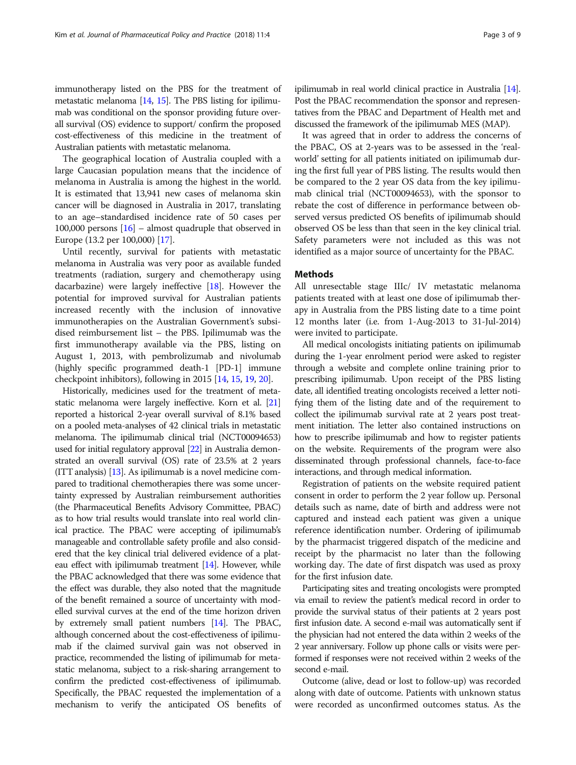immunotherapy listed on the PBS for the treatment of metastatic melanoma [\[14,](#page-7-0) [15\]](#page-7-0). The PBS listing for ipilimumab was conditional on the sponsor providing future overall survival (OS) evidence to support/ confirm the proposed cost-effectiveness of this medicine in the treatment of Australian patients with metastatic melanoma.

The geographical location of Australia coupled with a large Caucasian population means that the incidence of melanoma in Australia is among the highest in the world. It is estimated that 13,941 new cases of melanoma skin cancer will be diagnosed in Australia in 2017, translating to an age–standardised incidence rate of 50 cases per 100,000 persons [[16](#page-8-0)] – almost quadruple that observed in Europe (13.2 per 100,000) [[17](#page-8-0)].

Until recently, survival for patients with metastatic melanoma in Australia was very poor as available funded treatments (radiation, surgery and chemotherapy using dacarbazine) were largely ineffective [[18](#page-8-0)]. However the potential for improved survival for Australian patients increased recently with the inclusion of innovative immunotherapies on the Australian Government's subsidised reimbursement list – the PBS. Ipilimumab was the first immunotherapy available via the PBS, listing on August 1, 2013, with pembrolizumab and nivolumab (highly specific programmed death-1 [PD-1] immune checkpoint inhibitors), following in 2015 [[14](#page-7-0), [15,](#page-7-0) [19,](#page-8-0) [20](#page-8-0)].

Historically, medicines used for the treatment of metastatic melanoma were largely ineffective. Korn et al. [\[21](#page-8-0)] reported a historical 2-year overall survival of 8.1% based on a pooled meta-analyses of 42 clinical trials in metastatic melanoma. The ipilimumab clinical trial (NCT00094653) used for initial regulatory approval [[22](#page-8-0)] in Australia demonstrated an overall survival (OS) rate of 23.5% at 2 years (ITT analysis) [\[13\]](#page-7-0). As ipilimumab is a novel medicine compared to traditional chemotherapies there was some uncertainty expressed by Australian reimbursement authorities (the Pharmaceutical Benefits Advisory Committee, PBAC) as to how trial results would translate into real world clinical practice. The PBAC were accepting of ipilimumab's manageable and controllable safety profile and also considered that the key clinical trial delivered evidence of a plateau effect with ipilimumab treatment [[14](#page-7-0)]. However, while the PBAC acknowledged that there was some evidence that the effect was durable, they also noted that the magnitude of the benefit remained a source of uncertainty with modelled survival curves at the end of the time horizon driven by extremely small patient numbers [\[14\]](#page-7-0). The PBAC, although concerned about the cost-effectiveness of ipilimumab if the claimed survival gain was not observed in practice, recommended the listing of ipilimumab for metastatic melanoma, subject to a risk-sharing arrangement to confirm the predicted cost-effectiveness of ipilimumab. Specifically, the PBAC requested the implementation of a mechanism to verify the anticipated OS benefits of ipilimumab in real world clinical practice in Australia [\[14](#page-7-0)]. Post the PBAC recommendation the sponsor and representatives from the PBAC and Department of Health met and discussed the framework of the ipilimumab MES (MAP).

It was agreed that in order to address the concerns of the PBAC, OS at 2-years was to be assessed in the 'realworld' setting for all patients initiated on ipilimumab during the first full year of PBS listing. The results would then be compared to the 2 year OS data from the key ipilimumab clinical trial (NCT00094653), with the sponsor to rebate the cost of difference in performance between observed versus predicted OS benefits of ipilimumab should observed OS be less than that seen in the key clinical trial. Safety parameters were not included as this was not identified as a major source of uncertainty for the PBAC.

## **Methods**

All unresectable stage IIIc/ IV metastatic melanoma patients treated with at least one dose of ipilimumab therapy in Australia from the PBS listing date to a time point 12 months later (i.e. from 1-Aug-2013 to 31-Jul-2014) were invited to participate.

All medical oncologists initiating patients on ipilimumab during the 1-year enrolment period were asked to register through a website and complete online training prior to prescribing ipilimumab. Upon receipt of the PBS listing date, all identified treating oncologists received a letter notifying them of the listing date and of the requirement to collect the ipilimumab survival rate at 2 years post treatment initiation. The letter also contained instructions on how to prescribe ipilimumab and how to register patients on the website. Requirements of the program were also disseminated through professional channels, face-to-face interactions, and through medical information.

Registration of patients on the website required patient consent in order to perform the 2 year follow up. Personal details such as name, date of birth and address were not captured and instead each patient was given a unique reference identification number. Ordering of ipilimumab by the pharmacist triggered dispatch of the medicine and receipt by the pharmacist no later than the following working day. The date of first dispatch was used as proxy for the first infusion date.

Participating sites and treating oncologists were prompted via email to review the patient's medical record in order to provide the survival status of their patients at 2 years post first infusion date. A second e-mail was automatically sent if the physician had not entered the data within 2 weeks of the 2 year anniversary. Follow up phone calls or visits were performed if responses were not received within 2 weeks of the second e-mail.

Outcome (alive, dead or lost to follow-up) was recorded along with date of outcome. Patients with unknown status were recorded as unconfirmed outcomes status. As the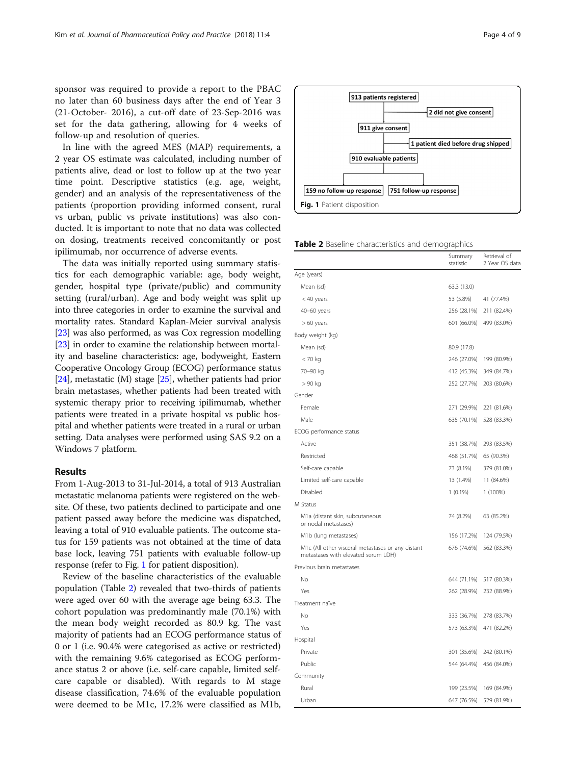sponsor was required to provide a report to the PBAC no later than 60 business days after the end of Year 3 (21-October- 2016), a cut-off date of 23-Sep-2016 was set for the data gathering, allowing for 4 weeks of follow-up and resolution of queries.

In line with the agreed MES (MAP) requirements, a 2 year OS estimate was calculated, including number of patients alive, dead or lost to follow up at the two year time point. Descriptive statistics (e.g. age, weight, gender) and an analysis of the representativeness of the patients (proportion providing informed consent, rural vs urban, public vs private institutions) was also conducted. It is important to note that no data was collected on dosing, treatments received concomitantly or post ipilimumab, nor occurrence of adverse events.

The data was initially reported using summary statistics for each demographic variable: age, body weight, gender, hospital type (private/public) and community setting (rural/urban). Age and body weight was split up into three categories in order to examine the survival and mortality rates. Standard Kaplan-Meier survival analysis [[23](#page-8-0)] was also performed, as was Cox regression modelling [[23](#page-8-0)] in order to examine the relationship between mortality and baseline characteristics: age, bodyweight, Eastern Cooperative Oncology Group (ECOG) performance status [[24](#page-8-0)], metastatic (M) stage [\[25](#page-8-0)], whether patients had prior brain metastases, whether patients had been treated with systemic therapy prior to receiving ipilimumab, whether patients were treated in a private hospital vs public hospital and whether patients were treated in a rural or urban setting. Data analyses were performed using SAS 9.2 on a Windows 7 platform.

## Results

From 1-Aug-2013 to 31-Jul-2014, a total of 913 Australian metastatic melanoma patients were registered on the website. Of these, two patients declined to participate and one patient passed away before the medicine was dispatched, leaving a total of 910 evaluable patients. The outcome status for 159 patients was not obtained at the time of data base lock, leaving 751 patients with evaluable follow-up response (refer to Fig. 1 for patient disposition).

Review of the baseline characteristics of the evaluable population (Table 2) revealed that two-thirds of patients were aged over 60 with the average age being 63.3. The cohort population was predominantly male (70.1%) with the mean body weight recorded as 80.9 kg. The vast majority of patients had an ECOG performance status of 0 or 1 (i.e. 90.4% were categorised as active or restricted) with the remaining 9.6% categorised as ECOG performance status 2 or above (i.e. self-care capable, limited selfcare capable or disabled). With regards to M stage disease classification, 74.6% of the evaluable population were deemed to be M1c, 17.2% were classified as M1b,



Table 2 Baseline characteristics and demographics

|                                                                                          | Summary<br>statistic | Retrieval of<br>2 Year OS data |
|------------------------------------------------------------------------------------------|----------------------|--------------------------------|
| Age (years)                                                                              |                      |                                |
| Mean (sd)                                                                                | 63.3 (13.0)          |                                |
| < 40 years                                                                               | 53 (5.8%)            | 41 (77.4%)                     |
| 40-60 years                                                                              | 256 (28.1%)          | 211 (82.4%)                    |
| $>60$ years                                                                              | 601 (66.0%)          | 499 (83.0%)                    |
| Body weight (kg)                                                                         |                      |                                |
| Mean (sd)                                                                                | 80.9 (17.8)          |                                |
| < 70 kg                                                                                  | 246 (27.0%)          | 199 (80.9%)                    |
| 70-90 kg                                                                                 | 412 (45.3%)          | 349 (84.7%)                    |
| > 90 kg                                                                                  | 252 (27.7%)          | 203 (80.6%)                    |
| Gender                                                                                   |                      |                                |
| Female                                                                                   | 271 (29.9%)          | 221 (81.6%)                    |
| Male                                                                                     | 635 (70.1%)          | 528 (83.3%)                    |
| ECOG performance status                                                                  |                      |                                |
| Active                                                                                   | 351 (38.7%)          | 293 (83.5%)                    |
| Restricted                                                                               | 468 (51.7%)          | 65 (90.3%)                     |
| Self-care capable                                                                        | 73 (8.1%)            | 379 (81.0%)                    |
| Limited self-care capable                                                                | 13 (1.4%)            | 11 (84.6%)                     |
| Disabled                                                                                 | $1(0.1\%)$           | 1 (100%)                       |
| M Status                                                                                 |                      |                                |
| M1a (distant skin, subcutaneous<br>or nodal metastases)                                  | 74 (8.2%)            | 63 (85.2%)                     |
| M1b (lung metastases)                                                                    | 156 (17.2%)          | 124 (79.5%)                    |
| M1c (All other visceral metastases or any distant<br>metastases with elevated serum LDH) | 676 (74.6%)          | 562 (83.3%)                    |
| Previous brain metastases                                                                |                      |                                |
| No                                                                                       | 644 (71.1%)          | 517 (80.3%)                    |
| Yes                                                                                      | 262 (28.9%)          | 232 (88.9%)                    |
| Treatment naïve                                                                          |                      |                                |
| No                                                                                       | 333 (36.7%)          | 278 (83.7%)                    |
| Yes                                                                                      | 573 (63.3%)          | 471 (82.2%)                    |
| Hospital                                                                                 |                      |                                |
| Private                                                                                  | 301 (35.6%)          | 242 (80.1%)                    |
| Public                                                                                   | 544 (64.4%)          | 456 (84.0%)                    |
| Community                                                                                |                      |                                |
| Rural                                                                                    | 199 (23.5%)          | 169 (84.9%)                    |
| Urban                                                                                    | 647 (76.5%)          | 529 (81.9%)                    |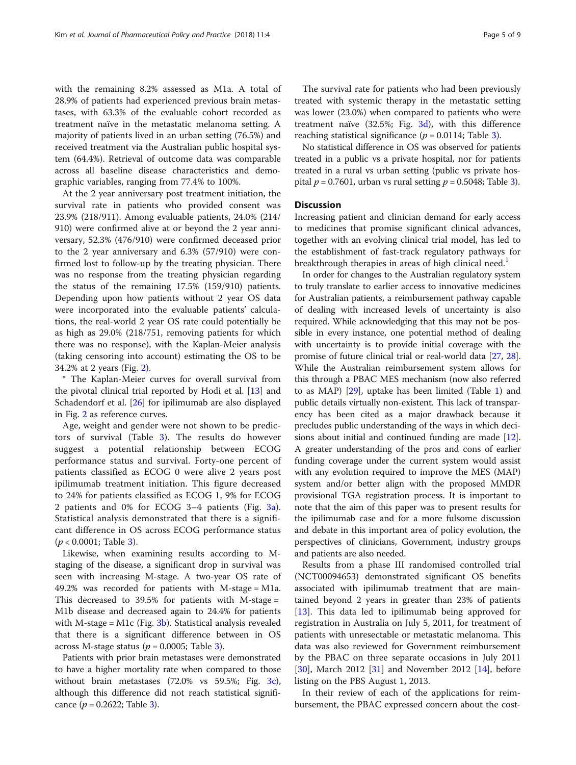with the remaining 8.2% assessed as M1a. A total of 28.9% of patients had experienced previous brain metastases, with 63.3% of the evaluable cohort recorded as treatment naïve in the metastatic melanoma setting. A majority of patients lived in an urban setting (76.5%) and received treatment via the Australian public hospital system (64.4%). Retrieval of outcome data was comparable across all baseline disease characteristics and demographic variables, ranging from 77.4% to 100%.

At the 2 year anniversary post treatment initiation, the survival rate in patients who provided consent was 23.9% (218/911). Among evaluable patients, 24.0% (214/ 910) were confirmed alive at or beyond the 2 year anniversary, 52.3% (476/910) were confirmed deceased prior to the 2 year anniversary and 6.3% (57/910) were confirmed lost to follow-up by the treating physician. There was no response from the treating physician regarding the status of the remaining 17.5% (159/910) patients. Depending upon how patients without 2 year OS data were incorporated into the evaluable patients' calculations, the real-world 2 year OS rate could potentially be as high as 29.0% (218/751, removing patients for which there was no response), with the Kaplan-Meier analysis (taking censoring into account) estimating the OS to be 34.2% at 2 years (Fig. [2\)](#page-5-0).

\* The Kaplan-Meier curves for overall survival from the pivotal clinical trial reported by Hodi et al. [[13\]](#page-7-0) and Schadendorf et al. [\[26](#page-8-0)] for ipilimumab are also displayed in Fig. [2](#page-5-0) as reference curves.

Age, weight and gender were not shown to be predictors of survival (Table [3\)](#page-5-0). The results do however suggest a potential relationship between ECOG performance status and survival. Forty-one percent of patients classified as ECOG 0 were alive 2 years post ipilimumab treatment initiation. This figure decreased to 24% for patients classified as ECOG 1, 9% for ECOG 2 patients and 0% for ECOG 3–4 patients (Fig. [3a](#page-6-0)). Statistical analysis demonstrated that there is a significant difference in OS across ECOG performance status  $(p < 0.0001$ ; Table [3](#page-5-0)).

Likewise, when examining results according to Mstaging of the disease, a significant drop in survival was seen with increasing M-stage. A two-year OS rate of 49.2% was recorded for patients with M-stage = M1a. This decreased to 39.5% for patients with M-stage = M1b disease and decreased again to 24.4% for patients with M-stage = M1c (Fig.  $3b$ ). Statistical analysis revealed that there is a significant difference between in OS across M-stage status ( $p = 0.0005$ ; Table [3\)](#page-5-0).

Patients with prior brain metastases were demonstrated to have a higher mortality rate when compared to those without brain metastases (72.0% vs 59.5%; Fig. [3c](#page-6-0)), although this difference did not reach statistical significance  $(p = 0.2622;$  Table [3](#page-5-0)).

The survival rate for patients who had been previously treated with systemic therapy in the metastatic setting was lower (23.0%) when compared to patients who were treatment naïve  $(32.5\%; Fig. 3d)$  $(32.5\%; Fig. 3d)$ , with this difference reaching statistical significance ( $p = 0.0114$ ; Table [3](#page-5-0)).

No statistical difference in OS was observed for patients treated in a public vs a private hospital, nor for patients treated in a rural vs urban setting (public vs private hospital  $p = 0.7601$ , urban vs rural setting  $p = 0.5048$ ; Table [3\)](#page-5-0).

### **Discussion**

Increasing patient and clinician demand for early access to medicines that promise significant clinical advances, together with an evolving clinical trial model, has led to the establishment of fast-track regulatory pathways for breakthrough therapies in areas of high clinical need.<sup>1</sup>

In order for changes to the Australian regulatory system to truly translate to earlier access to innovative medicines for Australian patients, a reimbursement pathway capable of dealing with increased levels of uncertainty is also required. While acknowledging that this may not be possible in every instance, one potential method of dealing with uncertainty is to provide initial coverage with the promise of future clinical trial or real-world data [[27](#page-8-0), [28](#page-8-0)]. While the Australian reimbursement system allows for this through a PBAC MES mechanism (now also referred to as MAP) [[29](#page-8-0)], uptake has been limited (Table [1\)](#page-1-0) and public details virtually non-existent. This lack of transparency has been cited as a major drawback because it precludes public understanding of the ways in which decisions about initial and continued funding are made [[12](#page-7-0)]. A greater understanding of the pros and cons of earlier funding coverage under the current system would assist with any evolution required to improve the MES (MAP) system and/or better align with the proposed MMDR provisional TGA registration process. It is important to note that the aim of this paper was to present results for the ipilimumab case and for a more fulsome discussion and debate in this important area of policy evolution, the perspectives of clinicians, Government, industry groups and patients are also needed.

Results from a phase III randomised controlled trial (NCT00094653) demonstrated significant OS benefits associated with ipilimumab treatment that are maintained beyond 2 years in greater than 23% of patients [[13\]](#page-7-0). This data led to ipilimumab being approved for registration in Australia on July 5, 2011, for treatment of patients with unresectable or metastatic melanoma. This data was also reviewed for Government reimbursement by the PBAC on three separate occasions in July 2011 [[30\]](#page-8-0), March 2012 [[31](#page-8-0)] and November 2012 [[14\]](#page-7-0), before listing on the PBS August 1, 2013.

In their review of each of the applications for reimbursement, the PBAC expressed concern about the cost-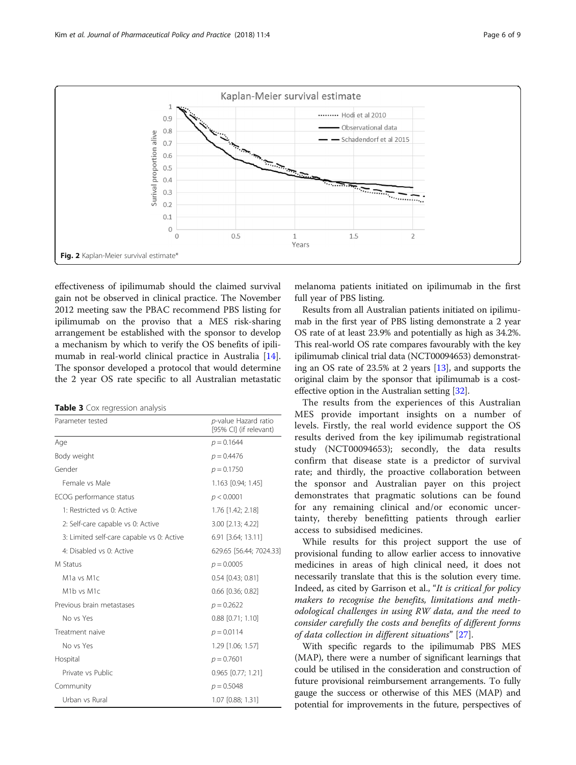<span id="page-5-0"></span>

effectiveness of ipilimumab should the claimed survival gain not be observed in clinical practice. The November 2012 meeting saw the PBAC recommend PBS listing for ipilimumab on the proviso that a MES risk-sharing arrangement be established with the sponsor to develop a mechanism by which to verify the OS benefits of ipilimumab in real-world clinical practice in Australia [\[14](#page-7-0)]. The sponsor developed a protocol that would determine the 2 year OS rate specific to all Australian metastatic

Table 3 Cox regression analysis

| Parameter tested                          | p-value Hazard ratio<br>[95% CI] (if relevant) |  |
|-------------------------------------------|------------------------------------------------|--|
| Age                                       | $p = 0.1644$                                   |  |
| Body weight                               | $p = 0.4476$                                   |  |
| Gender                                    | $p = 0.1750$                                   |  |
| Female vs Male                            | 1.163 [0.94; 1.45]                             |  |
| ECOG performance status                   | p < 0.0001                                     |  |
| 1: Restricted vs 0: Active                | 1.76 [1.42; 2.18]                              |  |
| 2: Self-care capable vs 0: Active         | 3.00 [2.13; 4.22]                              |  |
| 3: Limited self-care capable vs 0: Active | 6.91 [3.64; 13.11]                             |  |
| 4: Disabled vs 0: Active                  | 629.65 [56.44; 7024.33]                        |  |
| M Status                                  | $p = 0.0005$                                   |  |
| M <sub>1</sub> a vs M <sub>1</sub> c      | $0.54$ $[0.43; 0.81]$                          |  |
| M <sub>1</sub> b vs M <sub>1</sub> c      | 0.66 [0.36; 0.82]                              |  |
| Previous brain metastases                 | $p = 0.2622$                                   |  |
| No vs Yes                                 | $0.88$ [0.71; 1.10]                            |  |
| Treatment naive                           | $p = 0.0114$                                   |  |
| No vs Yes                                 | 1.29 [1.06; 1.57]                              |  |
| Hospital                                  | $p = 0.7601$                                   |  |
| Private vs Public                         | $0.965$ $[0.77; 1.21]$                         |  |
| Community                                 | $p = 0.5048$                                   |  |
| Urban vs Rural                            | 1.07 [0.88; 1.31]                              |  |

melanoma patients initiated on ipilimumab in the first full year of PBS listing.

Results from all Australian patients initiated on ipilimumab in the first year of PBS listing demonstrate a 2 year OS rate of at least 23.9% and potentially as high as 34.2%. This real-world OS rate compares favourably with the key ipilimumab clinical trial data (NCT00094653) demonstrating an OS rate of 23.5% at 2 years [[13](#page-7-0)], and supports the original claim by the sponsor that ipilimumab is a costeffective option in the Australian setting [[32\]](#page-8-0).

The results from the experiences of this Australian MES provide important insights on a number of levels. Firstly, the real world evidence support the OS results derived from the key ipilimumab registrational study (NCT00094653); secondly, the data results confirm that disease state is a predictor of survival rate; and thirdly, the proactive collaboration between the sponsor and Australian payer on this project demonstrates that pragmatic solutions can be found for any remaining clinical and/or economic uncertainty, thereby benefitting patients through earlier access to subsidised medicines.

While results for this project support the use of provisional funding to allow earlier access to innovative medicines in areas of high clinical need, it does not necessarily translate that this is the solution every time. Indeed, as cited by Garrison et al., "It is critical for policy makers to recognise the benefits, limitations and methodological challenges in using RW data, and the need to consider carefully the costs and benefits of different forms of data collection in different situations" [[27](#page-8-0)].

With specific regards to the ipilimumab PBS MES (MAP), there were a number of significant learnings that could be utilised in the consideration and construction of future provisional reimbursement arrangements. To fully gauge the success or otherwise of this MES (MAP) and potential for improvements in the future, perspectives of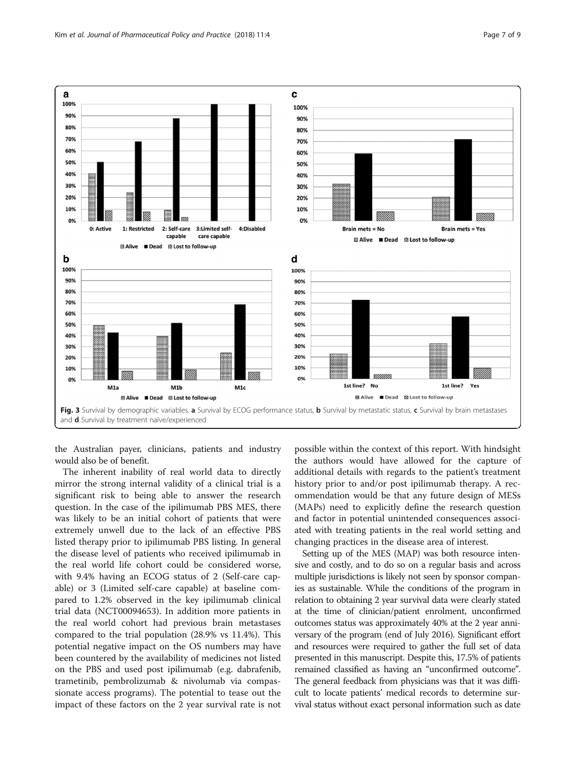a

b

<span id="page-6-0"></span>

0% 0% 1st line? No 1st line? M<sub>1</sub> Yes  $M1a$ M<sub>1</sub> 日Alive **Dead** S Lost to follow-up 图 Alive Dead S Lost to follow-up Fig. 3 Survival by demographic variables. a Survival by ECOG performance status, b Survival by metastatic status, c Survival by brain metastases and **d** Survival by treatment naïve/experienced

the Australian payer, clinicians, patients and industry would also be of benefit.

The inherent inability of real world data to directly mirror the strong internal validity of a clinical trial is a significant risk to being able to answer the research question. In the case of the ipilimumab PBS MES, there was likely to be an initial cohort of patients that were extremely unwell due to the lack of an effective PBS listed therapy prior to ipilimumab PBS listing. In general the disease level of patients who received ipilimumab in the real world life cohort could be considered worse, with 9.4% having an ECOG status of 2 (Self-care capable) or 3 (Limited self-care capable) at baseline compared to 1.2% observed in the key ipilimumab clinical trial data (NCT00094653). In addition more patients in the real world cohort had previous brain metastases compared to the trial population (28.9% vs 11.4%). This potential negative impact on the OS numbers may have been countered by the availability of medicines not listed on the PBS and used post ipilimumab (e.g. dabrafenib, trametinib, pembrolizumab & nivolumab via compassionate access programs). The potential to tease out the impact of these factors on the 2 year survival rate is not

possible within the context of this report. With hindsight the authors would have allowed for the capture of additional details with regards to the patient's treatment history prior to and/or post ipilimumab therapy. A recommendation would be that any future design of MESs (MAPs) need to explicitly define the research question and factor in potential unintended consequences associated with treating patients in the real world setting and changing practices in the disease area of interest.

Setting up of the MES (MAP) was both resource intensive and costly, and to do so on a regular basis and across multiple jurisdictions is likely not seen by sponsor companies as sustainable. While the conditions of the program in relation to obtaining 2 year survival data were clearly stated at the time of clinician/patient enrolment, unconfirmed outcomes status was approximately 40% at the 2 year anniversary of the program (end of July 2016). Significant effort and resources were required to gather the full set of data presented in this manuscript. Despite this, 17.5% of patients remained classified as having an "unconfirmed outcome". The general feedback from physicians was that it was difficult to locate patients' medical records to determine survival status without exact personal information such as date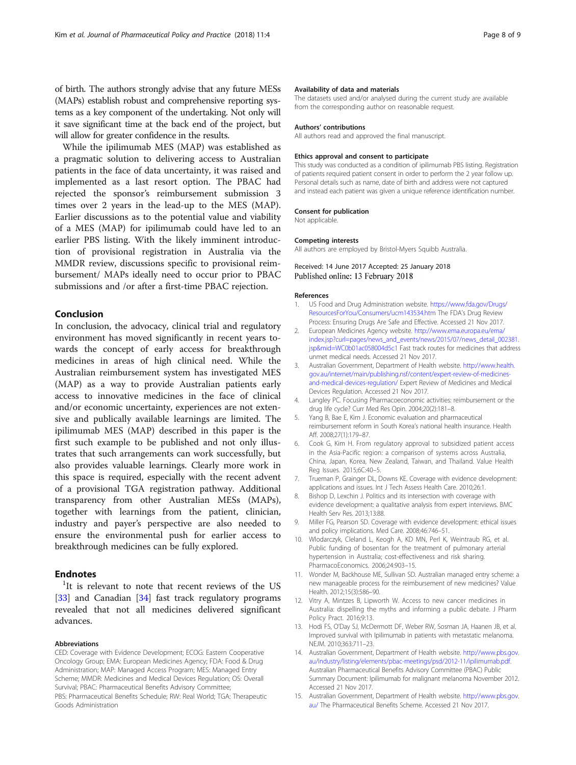<span id="page-7-0"></span>of birth. The authors strongly advise that any future MESs (MAPs) establish robust and comprehensive reporting systems as a key component of the undertaking. Not only will it save significant time at the back end of the project, but will allow for greater confidence in the results.

While the ipilimumab MES (MAP) was established as a pragmatic solution to delivering access to Australian patients in the face of data uncertainty, it was raised and implemented as a last resort option. The PBAC had rejected the sponsor's reimbursement submission 3 times over 2 years in the lead-up to the MES (MAP). Earlier discussions as to the potential value and viability of a MES (MAP) for ipilimumab could have led to an earlier PBS listing. With the likely imminent introduction of provisional registration in Australia via the MMDR review, discussions specific to provisional reimbursement/ MAPs ideally need to occur prior to PBAC submissions and /or after a first-time PBAC rejection.

## Conclusion

In conclusion, the advocacy, clinical trial and regulatory environment has moved significantly in recent years towards the concept of early access for breakthrough medicines in areas of high clinical need. While the Australian reimbursement system has investigated MES (MAP) as a way to provide Australian patients early access to innovative medicines in the face of clinical and/or economic uncertainty, experiences are not extensive and publically available learnings are limited. The ipilimumab MES (MAP) described in this paper is the first such example to be published and not only illustrates that such arrangements can work successfully, but also provides valuable learnings. Clearly more work in this space is required, especially with the recent advent of a provisional TGA registration pathway. Additional transparency from other Australian MESs (MAPs), together with learnings from the patient, clinician, industry and payer's perspective are also needed to ensure the environmental push for earlier access to breakthrough medicines can be fully explored.

## **Endnotes**

<sup>1</sup>It is relevant to note that recent reviews of the US [[33\]](#page-8-0) and Canadian [[34](#page-8-0)] fast track regulatory programs revealed that not all medicines delivered significant advances.

#### Abbreviations

CED: Coverage with Evidence Development; ECOG: Eastern Cooperative Oncology Group; EMA: European Medicines Agency; FDA: Food & Drug Administration; MAP: Managed Access Program; MES: Managed Entry Scheme; MMDR: Medicines and Medical Devices Regulation; OS: Overall Survival; PBAC: Pharmaceutical Benefits Advisory Committee; PBS: Pharmaceutical Benefits Schedule; RW: Real World; TGA: Therapeutic Goods Administration

#### Availability of data and materials

The datasets used and/or analysed during the current study are available from the corresponding author on reasonable request.

#### Authors' contributions

All authors read and approved the final manuscript.

#### Ethics approval and consent to participate

This study was conducted as a condition of ipilimumab PBS listing. Registration of patients required patient consent in order to perform the 2 year follow up. Personal details such as name, date of birth and address were not captured and instead each patient was given a unique reference identification number.

#### Consent for publication

Not applicable.

#### Competing interests

All authors are employed by Bristol-Myers Squibb Australia.

Received: 14 June 2017 Accepted: 25 January 2018 Published online: 13 February 2018

#### References

- 1. US Food and Drug Administration website. [https://www.fda.gov/Drugs/](https://www.fda.gov/Drugs/ResourcesForYou/Consumers/ucm143534.htm) [ResourcesForYou/Consumers/ucm143534.htm](https://www.fda.gov/Drugs/ResourcesForYou/Consumers/ucm143534.htm) The FDA's Drug Review Process: Ensuring Drugs Are Safe and Effective. Accessed 21 Nov 2017.
- 2. European Medicines Agency website. [http://www.ema.europa.eu/ema/](http://www.ema.europa.eu/ema/index.jsp?curl=pages/news_and_events/news/2015/07/news_detail_002381.jsp&mid=WC0b01ac058004d5c1) [index.jsp?curl=pages/news\\_and\\_events/news/2015/07/news\\_detail\\_002381.](http://www.ema.europa.eu/ema/index.jsp?curl=pages/news_and_events/news/2015/07/news_detail_002381.jsp&mid=WC0b01ac058004d5c1) [jsp&mid=WC0b01ac058004d5c1](http://www.ema.europa.eu/ema/index.jsp?curl=pages/news_and_events/news/2015/07/news_detail_002381.jsp&mid=WC0b01ac058004d5c1) Fast track routes for medicines that address unmet medical needs. Accessed 21 Nov 2017.
- 3. Australian Government, Department of Health website. [http://www.health.](http://www.health.gov.au/internet/main/publishing.nsf/content/expert-review-of-medicines-and-medical-devices-regulation/) [gov.au/internet/main/publishing.nsf/content/expert-review-of-medicines](http://www.health.gov.au/internet/main/publishing.nsf/content/expert-review-of-medicines-and-medical-devices-regulation/)[and-medical-devices-regulation/](http://www.health.gov.au/internet/main/publishing.nsf/content/expert-review-of-medicines-and-medical-devices-regulation/) Expert Review of Medicines and Medical Devices Regulation. Accessed 21 Nov 2017.
- Langley PC. Focusing Pharmacoeconomic activities: reimbursement or the drug life cycle? Curr Med Res Opin. 2004;20(2):181–8.
- 5. Yang B, Bae E, Kim J. Economic evaluation and pharmaceutical reimbursement reform in South Korea's national health insurance. Health Aff. 2008;27(1):179–87.
- Cook G, Kim H. From regulatory approval to subsidized patient access in the Asia-Pacific region: a comparison of systems across Australia, China, Japan, Korea, New Zealand, Taiwan, and Thailand. Value Health Reg Issues. 2015;6C:40–5.
- 7. Trueman P, Grainger DL, Downs KE. Coverage with evidence development: applications and issues. Int J Tech Assess Health Care. 2010;26:1.
- 8. Bishop D, Lexchin J, Politics and its intersection with coverage with evidence development: a qualitative analysis from expert interviews. BMC Health Serv Res. 2013;13:88.
- 9. Miller FG, Pearson SD. Coverage with evidence development: ethical issues and policy implications. Med Care. 2008;46:746–51.
- 10. Wlodarczyk, Cleland L, Keogh A, KD MN, Perl K, Weintraub RG, et al. Public funding of bosentan for the treatment of pulmonary arterial hypertension in Australia; cost-effectiveness and risk sharing. PharmacoEconomics. 2006;24:903–15.
- 11. Wonder M, Backhouse ME, Sullivan SD. Australian managed entry scheme: a new manageable process for the reimbursement of new medicines? Value Health. 2012;15(3):586–90.
- 12. Vitry A, Mintzes B, Lipworth W. Access to new cancer medicines in Australia: dispelling the myths and informing a public debate. J Pharm Policy Pract. 2016;9:13.
- 13. Hodi FS, O'Day SJ, McDermott DF, Weber RW, Sosman JA, Haanen JB, et al. Improved survival with Ipilimumab in patients with metastatic melanoma. NEJM. 2010;363:711–23.
- 14. Australian Government, Department of Health website. [http://www.pbs.gov.](http://www.pbs.gov.au/industry/listing/elements/pbac-meetings/psd/2012-11/ipilimumab.pdf) [au/industry/listing/elements/pbac-meetings/psd/2012-11/ipilimumab.pdf.](http://www.pbs.gov.au/industry/listing/elements/pbac-meetings/psd/2012-11/ipilimumab.pdf) Australian Pharmaceutical Benefits Advisory Committee (PBAC) Public Summary Document: Ipilimumab for malignant melanoma November 2012. Accessed 21 Nov 2017.
- 15. Australian Government, Department of Health website. [http://www.pbs.gov.](http://www.pbs.gov.au/pbs/search?term=ipilimumab&search-type=info) [au/](http://www.pbs.gov.au/pbs/search?term=ipilimumab&search-type=info) The Pharmaceutical Benefits Scheme. Accessed 21 Nov 2017.